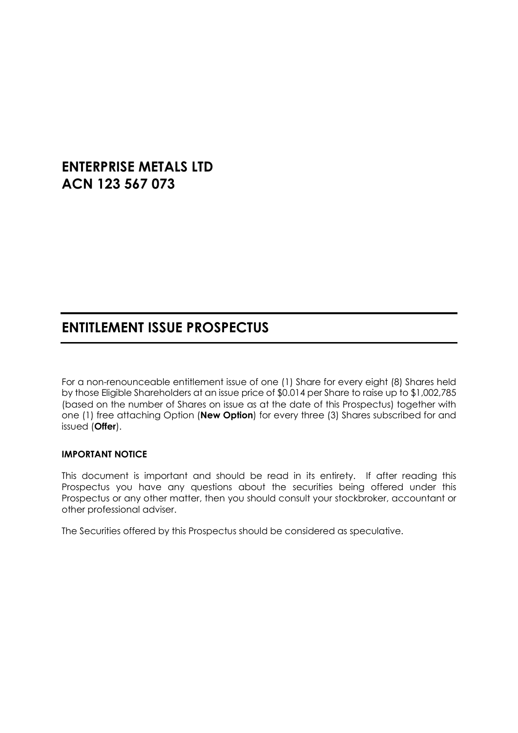# **ENTERPRISE METALS LTD ACN 123 567 073**

# **ENTITLEMENT ISSUE PROSPECTUS**

For a non-renounceable entitlement issue of one (1) Share for every eight (8) Shares held by those Eligible Shareholders at an issue price of \$0.014 per Share to raise up to \$1,002,785 (based on the number of Shares on issue as at the date of this Prospectus) together with one (1) free attaching Option (**New Option**) for every three (3) Shares subscribed for and issued (**Offer**).

#### **IMPORTANT NOTICE**

This document is important and should be read in its entirety. If after reading this Prospectus you have any questions about the securities being offered under this Prospectus or any other matter, then you should consult your stockbroker, accountant or other professional adviser.

The Securities offered by this Prospectus should be considered as speculative.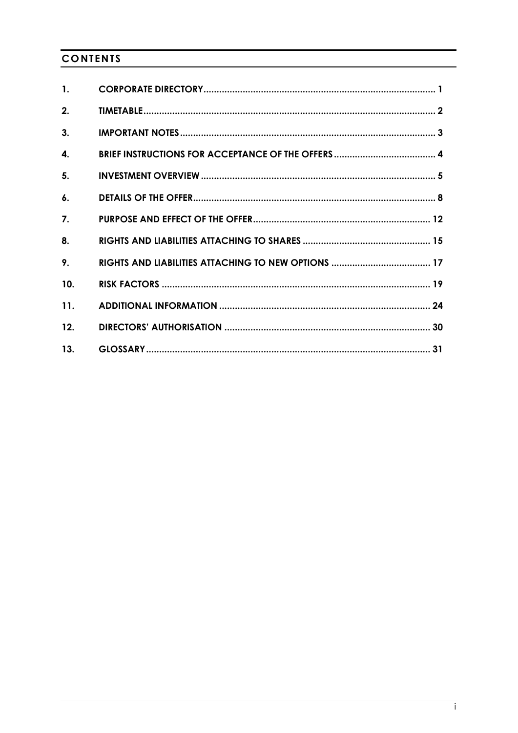## **CONTENTS**

| $\mathbf{1}$ .     |  |
|--------------------|--|
| 2.                 |  |
| 3.                 |  |
| 4.                 |  |
| 5.                 |  |
| $\boldsymbol{6}$ . |  |
| 7.                 |  |
| 8.                 |  |
| 9.                 |  |
| 10.                |  |
| 11.                |  |
| 12.                |  |
| 13.                |  |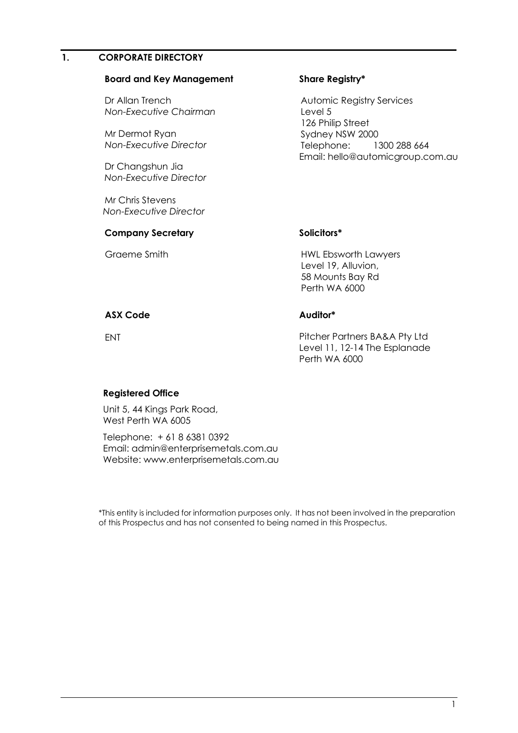#### <span id="page-2-0"></span>**1. CORPORATE DIRECTORY**

#### **Board and Key Management**

Dr Allan Trench *Non-Executive Chairman*

Mr Dermot Ryan *Non-Executive Director*

Dr Changshun Jia *Non-Executive Director*

Mr Chris Stevens *Non-Executive Director*

#### **Company Secretary**

Graeme Smith

#### **Share Registry\***

Automic Registry Services Level 5 126 Philip Street Sydney NSW 2000 Telephone: 1300 288 664 Email: hello@automicgroup.com.au

#### **Solicitors\***

HWL Ebsworth Lawyers Level 19, Alluvion, 58 Mounts Bay Rd Perth WA 6000

#### **ASX Code**

#### **Auditor\***

ENT

Pitcher Partners BA&A Pty Ltd Level 11, 12-14 The Esplanade Perth WA 6000

#### **Registered Office**

Unit 5, 44 Kings Park Road, West Perth WA 6005

Telephone: + 61 8 6381 0392 Email: admin@enterprisemetals.com.au Website: www.enterprisemetals.com.au

\*This entity is included for information purposes only. It has not been involved in the preparation of this Prospectus and has not consented to being named in this Prospectus.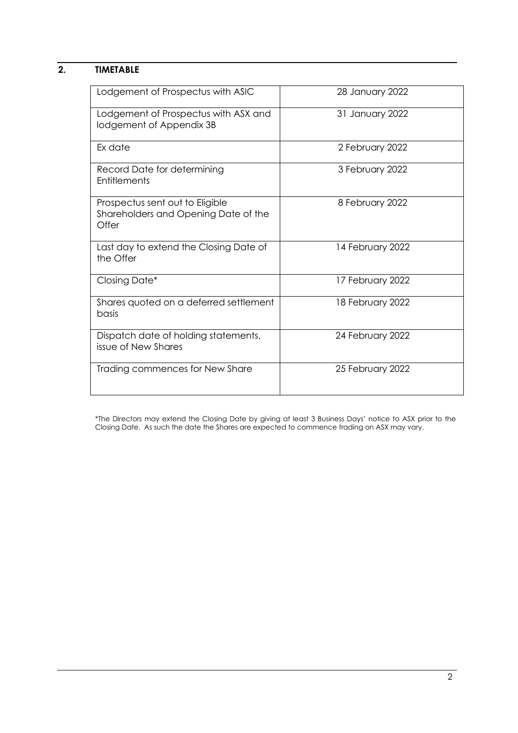## <span id="page-3-0"></span>**2. TIMETABLE**

| Lodgement of Prospectus with ASIC                                                | 28 January 2022  |
|----------------------------------------------------------------------------------|------------------|
| Lodgement of Prospectus with ASX and<br>lodgement of Appendix 3B                 | 31 January 2022  |
| Ex date                                                                          | 2 February 2022  |
| Record Date for determining<br>Entitlements                                      | 3 February 2022  |
| Prospectus sent out to Eligible<br>Shareholders and Opening Date of the<br>Offer | 8 February 2022  |
| Last day to extend the Closing Date of<br>the Offer                              | 14 February 2022 |
| Closing Date*                                                                    | 17 February 2022 |
| Shares quoted on a deferred settlement<br>basis                                  | 18 February 2022 |
| Dispatch date of holding statements,<br>issue of New Shares                      | 24 February 2022 |
| Trading commences for New Share                                                  | 25 February 2022 |

\*The Directors may extend the Closing Date by giving at least 3 Business Days' notice to ASX prior to the Closing Date. As such the date the Shares are expected to commence trading on ASX may vary.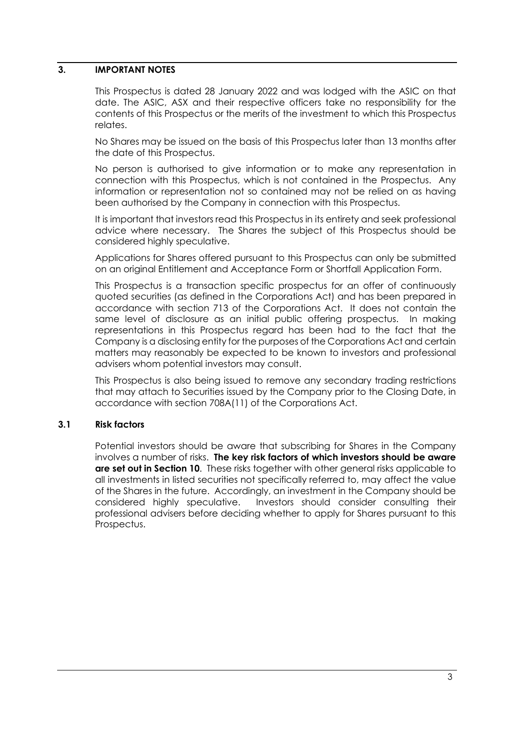### <span id="page-4-0"></span>**3. IMPORTANT NOTES**

This Prospectus is dated 28 January 2022 and was lodged with the ASIC on that date. The ASIC, ASX and their respective officers take no responsibility for the contents of this Prospectus or the merits of the investment to which this Prospectus relates.

No Shares may be issued on the basis of this Prospectus later than 13 months after the date of this Prospectus.

No person is authorised to give information or to make any representation in connection with this Prospectus, which is not contained in the Prospectus. Any information or representation not so contained may not be relied on as having been authorised by the Company in connection with this Prospectus.

It is important that investors read this Prospectus in its entirety and seek professional advice where necessary. The Shares the subject of this Prospectus should be considered highly speculative.

Applications for Shares offered pursuant to this Prospectus can only be submitted on an original Entitlement and Acceptance Form or Shortfall Application Form.

This Prospectus is a transaction specific prospectus for an offer of continuously quoted securities (as defined in the Corporations Act) and has been prepared in accordance with section 713 of the Corporations Act. It does not contain the same level of disclosure as an initial public offering prospectus. In making representations in this Prospectus regard has been had to the fact that the Company is a disclosing entity for the purposes of the Corporations Act and certain matters may reasonably be expected to be known to investors and professional advisers whom potential investors may consult.

This Prospectus is also being issued to remove any secondary trading restrictions that may attach to Securities issued by the Company prior to the Closing Date, in accordance with section 708A(11) of the Corporations Act.

#### **3.1 Risk factors**

Potential investors should be aware that subscribing for Shares in the Company involves a number of risks. **The key risk factors of which investors should be aware are set out in Section 10**. These risks together with other general risks applicable to all investments in listed securities not specifically referred to, may affect the value of the Shares in the future. Accordingly, an investment in the Company should be considered highly speculative. Investors should consider consulting their professional advisers before deciding whether to apply for Shares pursuant to this Prospectus.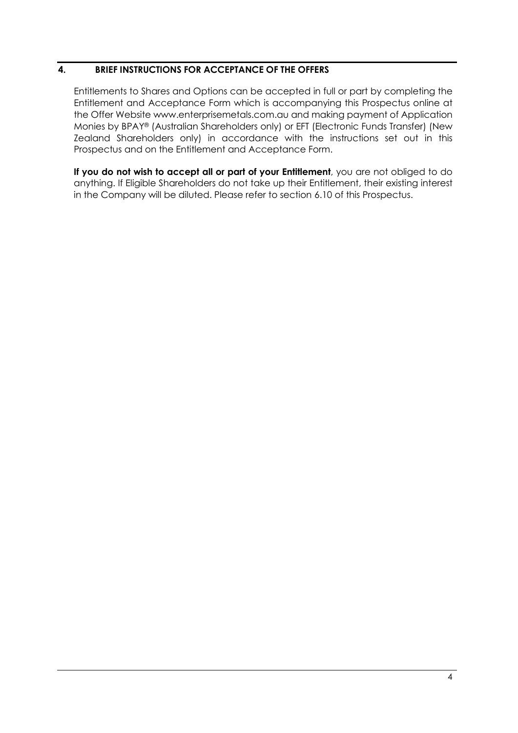### <span id="page-5-0"></span>**4. BRIEF INSTRUCTIONS FOR ACCEPTANCE OF THE OFFERS**

Entitlements to Shares and Options can be accepted in full or part by completing the Entitlement and Acceptance Form which is accompanying this Prospectus online at the Offer Website www.enterprisemetals.com.au and making payment of Application Monies by BPAY® (Australian Shareholders only) or EFT (Electronic Funds Transfer) (New Zealand Shareholders only) in accordance with the instructions set out in this Prospectus and on the Entitlement and Acceptance Form.

**If you do not wish to accept all or part of your Entitlement**, you are not obliged to do anything. If Eligible Shareholders do not take up their Entitlement, their existing interest in the Company will be diluted. Please refer to section 6.10 of this Prospectus.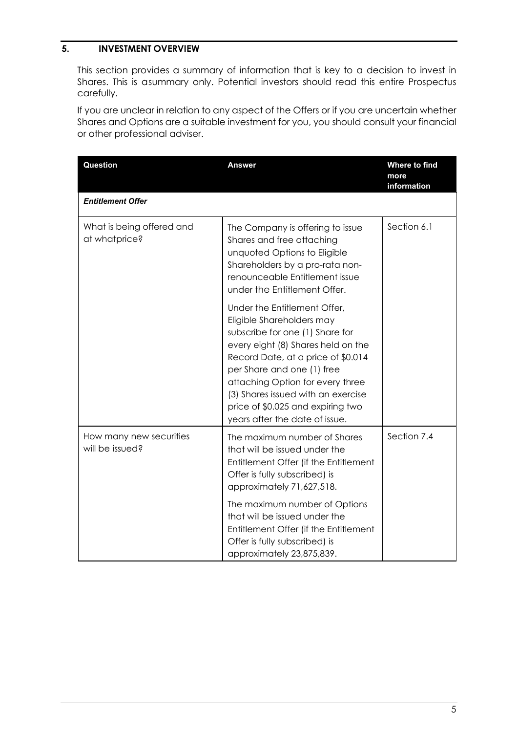### <span id="page-6-0"></span>**5. INVESTMENT OVERVIEW**

This section provides a summary of information that is key to a decision to invest in Shares. This is asummary only. Potential investors should read this entire Prospectus carefully.

If you are unclear in relation to any aspect of the Offers or if you are uncertain whether Shares and Options are a suitable investment for you, you should consult your financial or other professional adviser.

| Question                                   | Answer                                                                                                                                                                                                                                                                                                                                                  | Where to find<br>more<br>information |
|--------------------------------------------|---------------------------------------------------------------------------------------------------------------------------------------------------------------------------------------------------------------------------------------------------------------------------------------------------------------------------------------------------------|--------------------------------------|
| <b>Entitlement Offer</b>                   |                                                                                                                                                                                                                                                                                                                                                         |                                      |
| What is being offered and<br>at whatprice? | The Company is offering to issue<br>Shares and free attaching<br>unquoted Options to Eligible<br>Shareholders by a pro-rata non-<br>renounceable Entitlement issue<br>under the Entitlement Offer.                                                                                                                                                      | Section 6.1                          |
|                                            | Under the Entitlement Offer,<br>Eligible Shareholders may<br>subscribe for one (1) Share for<br>every eight (8) Shares held on the<br>Record Date, at a price of \$0.014<br>per Share and one (1) free<br>attaching Option for every three<br>(3) Shares issued with an exercise<br>price of \$0.025 and expiring two<br>years after the date of issue. |                                      |
| How many new securities<br>will be issued? | The maximum number of Shares<br>that will be issued under the<br>Entitlement Offer (if the Entitlement<br>Offer is fully subscribed) is<br>approximately 71,627,518.                                                                                                                                                                                    | Section 7.4                          |
|                                            | The maximum number of Options<br>that will be issued under the<br>Entitlement Offer (if the Entitlement<br>Offer is fully subscribed) is<br>approximately 23,875,839.                                                                                                                                                                                   |                                      |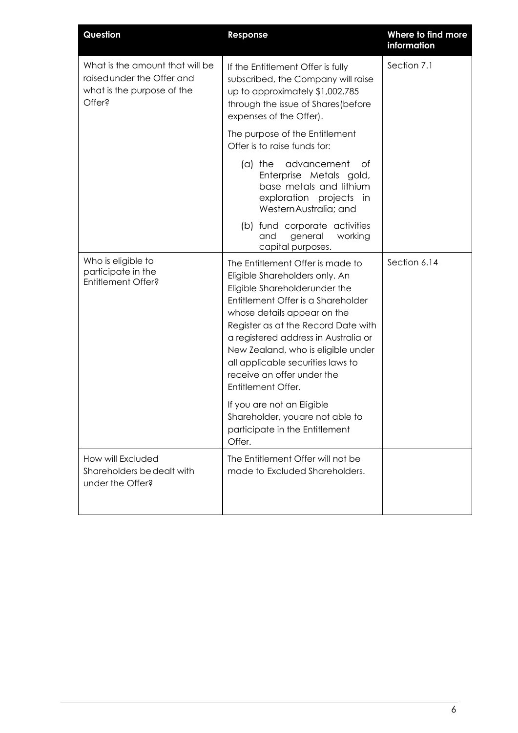| Question                                                                                              | Response                                                                                                                                                                                                                                                                                                                                                                                                                                                                                            | Where to find more<br>information |
|-------------------------------------------------------------------------------------------------------|-----------------------------------------------------------------------------------------------------------------------------------------------------------------------------------------------------------------------------------------------------------------------------------------------------------------------------------------------------------------------------------------------------------------------------------------------------------------------------------------------------|-----------------------------------|
| What is the amount that will be<br>raised under the Offer and<br>what is the purpose of the<br>Offer? | If the Entitlement Offer is fully<br>subscribed, the Company will raise<br>up to approximately \$1,002,785<br>through the issue of Shares (before<br>expenses of the Offer).                                                                                                                                                                                                                                                                                                                        | Section 7.1                       |
|                                                                                                       | The purpose of the Entitlement<br>Offer is to raise funds for:                                                                                                                                                                                                                                                                                                                                                                                                                                      |                                   |
|                                                                                                       | advancement<br>(a) the<br>0f<br>Enterprise Metals gold,<br>base metals and lithium<br>exploration projects<br>in<br>WesternAustralia; and                                                                                                                                                                                                                                                                                                                                                           |                                   |
|                                                                                                       | (b) fund corporate activities<br>and<br>general<br>working<br>capital purposes.                                                                                                                                                                                                                                                                                                                                                                                                                     |                                   |
| Who is eligible to<br>participate in the<br>Entitlement Offer?                                        | The Entitlement Offer is made to<br>Eligible Shareholders only. An<br>Eligible Shareholderunder the<br>Entitlement Offer is a Shareholder<br>whose details appear on the<br>Register as at the Record Date with<br>a registered address in Australia or<br>New Zealand, who is eligible under<br>all applicable securities laws to<br>receive an offer under the<br>Entitlement Offer.<br>If you are not an Eligible<br>Shareholder, youare not able to<br>participate in the Entitlement<br>Offer. | Section 6.14                      |
| How will Excluded<br>Shareholders be dealt with<br>under the Offer?                                   | The Entitlement Offer will not be<br>made to Excluded Shareholders.                                                                                                                                                                                                                                                                                                                                                                                                                                 |                                   |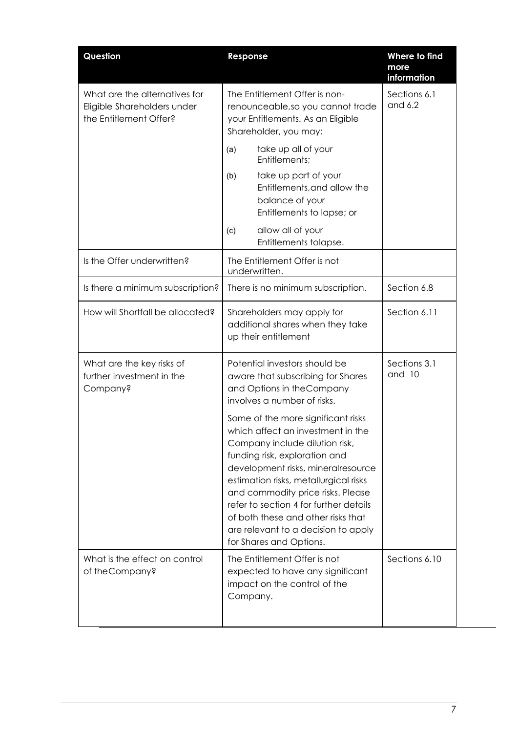| Question                                                                               | Response                                                                                                                                                                                                                                                                                                                                                                                                         | Where to find<br>more<br>information |
|----------------------------------------------------------------------------------------|------------------------------------------------------------------------------------------------------------------------------------------------------------------------------------------------------------------------------------------------------------------------------------------------------------------------------------------------------------------------------------------------------------------|--------------------------------------|
| What are the alternatives for<br>Eligible Shareholders under<br>the Entitlement Offer? | The Entitlement Offer is non-<br>renounceable, so you cannot trade<br>your Entitlements. As an Eligible<br>Shareholder, you may:                                                                                                                                                                                                                                                                                 | Sections 6.1<br>and 6.2              |
|                                                                                        | take up all of your<br>(a)<br>Entitlements;                                                                                                                                                                                                                                                                                                                                                                      |                                      |
|                                                                                        | take up part of your<br>(b)<br>Entitlements, and allow the<br>balance of your<br>Entitlements to lapse; or                                                                                                                                                                                                                                                                                                       |                                      |
|                                                                                        | allow all of your<br>(c)<br>Entitlements tolapse.                                                                                                                                                                                                                                                                                                                                                                |                                      |
| Is the Offer underwritten?                                                             | The Entitlement Offer is not<br>underwritten.                                                                                                                                                                                                                                                                                                                                                                    |                                      |
| Is there a minimum subscription?                                                       | There is no minimum subscription.                                                                                                                                                                                                                                                                                                                                                                                | Section 6.8                          |
| How will Shortfall be allocated?                                                       | Shareholders may apply for<br>additional shares when they take<br>up their entitlement                                                                                                                                                                                                                                                                                                                           | Section 6.11                         |
| What are the key risks of<br>further investment in the<br>Company?                     | Potential investors should be<br>aware that subscribing for Shares<br>and Options in the Company<br>involves a number of risks.                                                                                                                                                                                                                                                                                  | Sections 3.1<br>and 10               |
|                                                                                        | Some of the more significant risks<br>which affect an investment in the<br>Company include dilution risk,<br>funding risk, exploration and<br>development risks, mineralresource<br>estimation risks, metallurgical risks<br>and commodity price risks. Please<br>refer to section 4 for further details<br>of both these and other risks that<br>are relevant to a decision to apply<br>for Shares and Options. |                                      |
| What is the effect on control<br>of the Company?                                       | The Entitlement Offer is not<br>expected to have any significant<br>impact on the control of the<br>Company.                                                                                                                                                                                                                                                                                                     | Sections 6.10                        |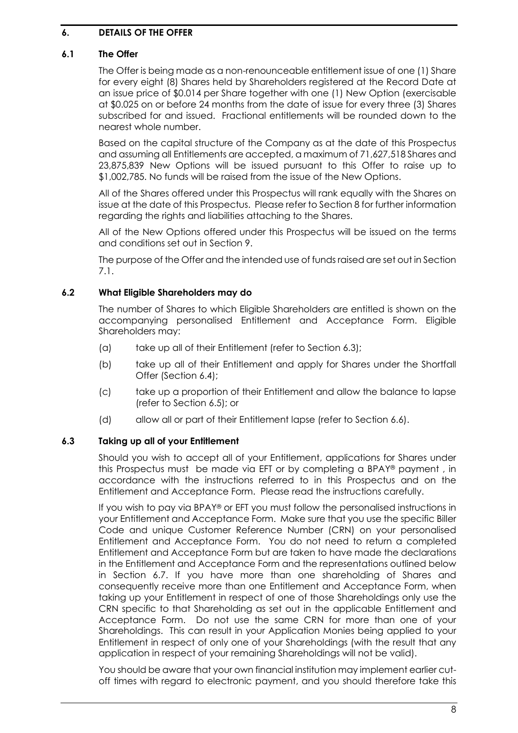### <span id="page-9-0"></span>**6. DETAILS OF THE OFFER**

#### **6.1 The Offer**

The Offer is being made as a non-renounceable entitlement issue of one (1) Share for every eight (8) Shares held by Shareholders registered at the Record Date at an issue price of \$0.014 per Share together with one (1) New Option (exercisable at \$0.025 on or before 24 months from the date of issue for every three (3) Shares subscribed for and issued. Fractional entitlements will be rounded down to the nearest whole number.

Based on the capital structure of the Company as at the date of this Prospectus and assuming all Entitlements are accepted, a maximum of 71,627,518 Shares and 23,875,839 New Options will be issued pursuant to this Offer to raise up to \$1,002,785. No funds will be raised from the issue of the New Options.

All of the Shares offered under this Prospectus will rank equally with the Shares on issue at the date of this Prospectus. Please refer to Section [8](#page-16-0) for further information regarding the rights and liabilities attaching to the Shares.

All of the New Options offered under this Prospectus will be issued on the terms and conditions set out in Section 9.

The purpose of the Offer and the intended use of funds raised are set out in Section [7.1.](#page-13-1)

#### **6.2 What Eligible Shareholders may do**

The number of Shares to which Eligible Shareholders are entitled is shown on the accompanying personalised Entitlement and Acceptance Form. Eligible Shareholders may:

- (a) take up all of their Entitlement (refer to Section [6.3\)](#page-9-1);
- (b) take up all of their Entitlement and apply for Shares under the Shortfall Offer (Section 6.4);
- (c) take up a proportion of their Entitlement and allow the balance to lapse (refer to Section [6.5\)](#page-10-0); or
- (d) allow all or part of their Entitlement lapse (refer to Section [6.6\)](#page-10-1).

### <span id="page-9-1"></span>**6.3 Taking up all of your Entitlement**

Should you wish to accept all of your Entitlement, applications for Shares under this Prospectus must be made via EFT or by completing a BPAY® payment , in accordance with the instructions referred to in this Prospectus and on the Entitlement and Acceptance Form. Please read the instructions carefully.

If you wish to pay via BPAY® or EFT you must follow the personalised instructions in your Entitlement and Acceptance Form. Make sure that you use the specific Biller Code and unique Customer Reference Number (CRN) on your personalised Entitlement and Acceptance Form. You do not need to return a completed Entitlement and Acceptance Form but are taken to have made the declarations in the Entitlement and Acceptance Form and the representations outlined below in Section [6.7.](#page-10-2) If you have more than one shareholding of Shares and consequently receive more than one Entitlement and Acceptance Form, when taking up your Entitlement in respect of one of those Shareholdings only use the CRN specific to that Shareholding as set out in the applicable Entitlement and Acceptance Form. Do not use the same CRN for more than one of your Shareholdings. This can result in your Application Monies being applied to your Entitlement in respect of only one of your Shareholdings (with the result that any application in respect of your remaining Shareholdings will not be valid).

You should be aware that your own financial institution may implement earlier cutoff times with regard to electronic payment, and you should therefore take this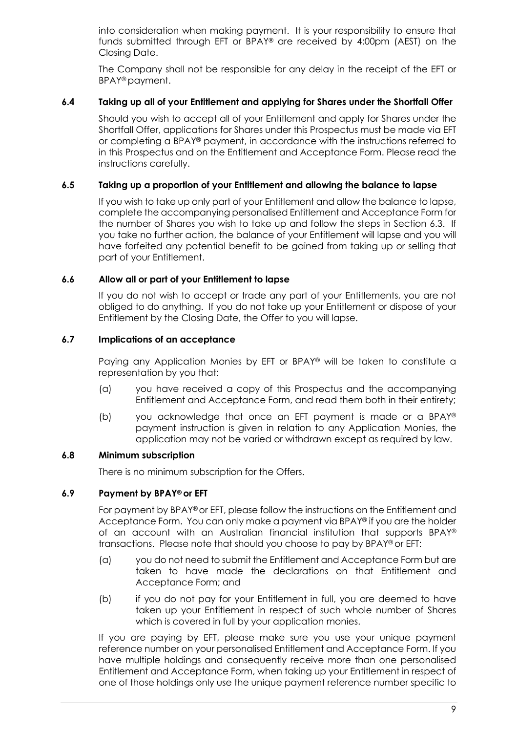into consideration when making payment. It is your responsibility to ensure that funds submitted through EFT or BPAY® are received by 4:00pm (AEST) on the Closing Date.

The Company shall not be responsible for any delay in the receipt of the EFT or BPAY® payment.

### **6.4 Taking up all of your Entitlement and applying for Shares under the Shortfall Offer**

Should you wish to accept all of your Entitlement and apply for Shares under the Shortfall Offer, applications for Shares under this Prospectus must be made via EFT or completing a BPAY® payment, in accordance with the instructions referred to in this Prospectus and on the Entitlement and Acceptance Form. Please read the instructions carefully.

### <span id="page-10-0"></span>**6.5 Taking up a proportion of your Entitlement and allowing the balance to lapse**

If you wish to take up only part of your Entitlement and allow the balance to lapse, complete the accompanying personalised Entitlement and Acceptance Form for the number of Shares you wish to take up and follow the steps in Section [6.3.](#page-9-1) If you take no further action, the balance of your Entitlement will lapse and you will have forfeited any potential benefit to be gained from taking up or selling that part of your Entitlement.

### <span id="page-10-1"></span>**6.6 Allow all or part of your Entitlement to lapse**

If you do not wish to accept or trade any part of your Entitlements, you are not obliged to do anything. If you do not take up your Entitlement or dispose of your Entitlement by the Closing Date, the Offer to you will lapse.

### <span id="page-10-2"></span>**6.7 Implications of an acceptance**

Paying any Application Monies by EFT or BPAY® will be taken to constitute a representation by you that:

- (a) you have received a copy of this Prospectus and the accompanying Entitlement and Acceptance Form, and read them both in their entirety;
- (b) you acknowledge that once an EFT payment is made or a BPAY® payment instruction is given in relation to any Application Monies, the application may not be varied or withdrawn except as required by law.

#### **6.8 Minimum subscription**

There is no minimum subscription for the Offers.

### **6.9 Payment by BPAY® or EFT**

For payment by BPAY® or EFT, please follow the instructions on the Entitlement and Acceptance Form. You can only make a payment via BPAY® if you are the holder of an account with an Australian financial institution that supports BPAY® transactions. Please note that should you choose to pay by BPAY® or EFT:

- (a) you do not need to submit the Entitlement and Acceptance Form but are taken to have made the declarations on that Entitlement and Acceptance Form; and
- (b) if you do not pay for your Entitlement in full, you are deemed to have taken up your Entitlement in respect of such whole number of Shares which is covered in full by your application monies.

If you are paying by EFT, please make sure you use your unique payment reference number on your personalised Entitlement and Acceptance Form. If you have multiple holdings and consequently receive more than one personalised Entitlement and Acceptance Form, when taking up your Entitlement in respect of one of those holdings only use the unique payment reference number specific to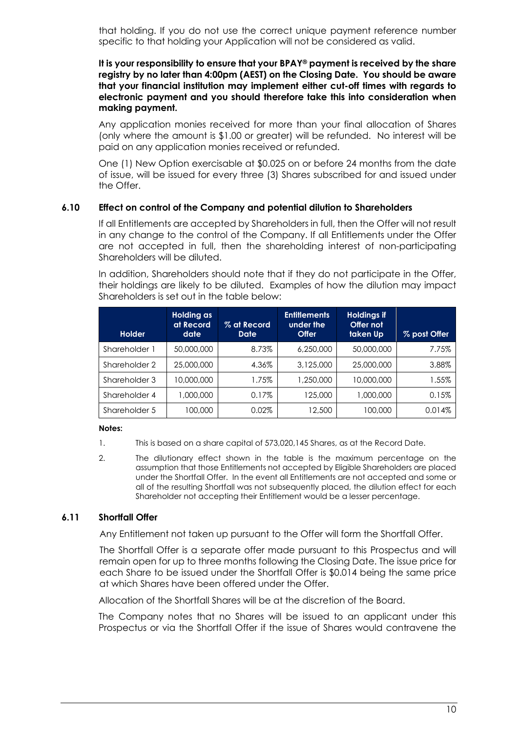that holding. If you do not use the correct unique payment reference number specific to that holding your Application will not be considered as valid.

#### **It is your responsibility to ensure that your BPAY® payment is received by the share registry by no later than 4:00pm (AEST) on the Closing Date. You should be aware that your financial institution may implement either cut-off times with regards to electronic payment and you should therefore take this into consideration when making payment.**

Any application monies received for more than your final allocation of Shares (only where the amount is \$1.00 or greater) will be refunded. No interest will be paid on any application monies received or refunded.

One (1) New Option exercisable at \$0.025 on or before 24 months from the date of issue, will be issued for every three (3) Shares subscribed for and issued under the Offer.

#### **6.10 Effect on control of the Company and potential dilution to Shareholders**

If all Entitlements are accepted by Shareholders in full, then the Offer will not result in any change to the control of the Company. If all Entitlements under the Offer are not accepted in full, then the shareholding interest of non-participating Shareholders will be diluted.

In addition, Shareholders should note that if they do not participate in the Offer, their holdings are likely to be diluted. Examples of how the dilution may impact Shareholders is set out in the table below:

| <b>Holder</b> | Holding as<br>at Record<br>date | % at Record<br><b>Date</b> | <b>Entitlements</b><br>under the<br><b>Offer</b> | <b>Holdings if</b><br>Offer not<br>taken Up | % post Offer |
|---------------|---------------------------------|----------------------------|--------------------------------------------------|---------------------------------------------|--------------|
| Shareholder 1 | 50,000,000                      | 8.73%                      | 6,250,000                                        | 50,000,000                                  | 7.75%        |
| Shareholder 2 | 25,000,000                      | 4.36%                      | 3,125,000                                        | 25,000,000                                  | 3.88%        |
| Shareholder 3 | 10,000,000                      | 1.75%                      | 1,250,000                                        | 10,000,000                                  | 1.55%        |
| Shareholder 4 | 1,000,000                       | $0.17\%$                   | 125,000                                          | 1,000,000                                   | 0.15%        |
| Shareholder 5 | 100.000                         | $0.02\%$                   | 12,500                                           | 100,000                                     | 0.014%       |

#### **Notes:**

- 1. This is based on a share capital of 573,020,145 Shares, as at the Record Date.
- 2. The dilutionary effect shown in the table is the maximum percentage on the assumption that those Entitlements not accepted by Eligible Shareholders are placed under the Shortfall Offer. In the event all Entitlements are not accepted and some or all of the resulting Shortfall was not subsequently placed, the dilution effect for each Shareholder not accepting their Entitlement would be a lesser percentage.

#### <span id="page-11-0"></span>**6.11 Shortfall Offer**

Any Entitlement not taken up pursuant to the Offer will form the Shortfall Offer.

The Shortfall Offer is a separate offer made pursuant to this Prospectus and will remain open for up to three months following the Closing Date. The issue price for each Share to be issued under the Shortfall Offer is \$0.014 being the same price at which Shares have been offered under the Offer.

Allocation of the Shortfall Shares will be at the discretion of the Board.

The Company notes that no Shares will be issued to an applicant under this Prospectus or via the Shortfall Offer if the issue of Shares would contravene the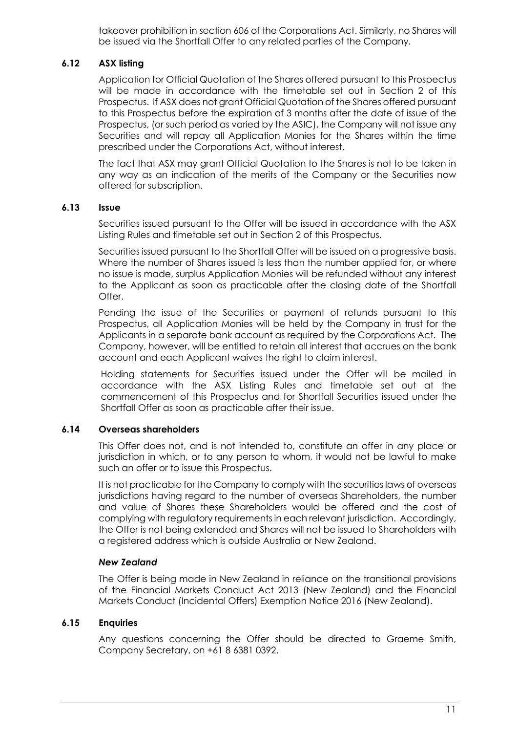takeover prohibition in section 606 of the Corporations Act. Similarly, no Shares will be issued via the Shortfall Offer to any related parties of the Company.

### **6.12 ASX listing**

Application for Official Quotation of the Shares offered pursuant to this Prospectus will be made in accordance with the timetable set out in Section 2 of this Prospectus. If ASX does not grant Official Quotation of the Shares offered pursuant to this Prospectus before the expiration of 3 months after the date of issue of the Prospectus, (or such period as varied by the ASIC), the Company will not issue any Securities and will repay all Application Monies for the Shares within the time prescribed under the Corporations Act, without interest.

The fact that ASX may grant Official Quotation to the Shares is not to be taken in any way as an indication of the merits of the Company or the Securities now offered for subscription.

#### **6.13 Issue**

Securities issued pursuant to the Offer will be issued in accordance with the ASX Listing Rules and timetable set out in Section 2 of this Prospectus.

Securities issued pursuant to the Shortfall Offer will be issued on a progressive basis. Where the number of Shares issued is less than the number applied for, or where no issue is made, surplus Application Monies will be refunded without any interest to the Applicant as soon as practicable after the closing date of the Shortfall Offer.

Pending the issue of the Securities or payment of refunds pursuant to this Prospectus, all Application Monies will be held by the Company in trust for the Applicants in a separate bank account as required by the Corporations Act. The Company, however, will be entitled to retain all interest that accrues on the bank account and each Applicant waives the right to claim interest.

Holding statements for Securities issued under the Offer will be mailed in accordance with the ASX Listing Rules and timetable set out at the commencement of this Prospectus and for Shortfall Securities issued under the Shortfall Offer as soon as practicable after their issue.

#### **6.14 Overseas shareholders**

This Offer does not, and is not intended to, constitute an offer in any place or jurisdiction in which, or to any person to whom, it would not be lawful to make such an offer or to issue this Prospectus.

It is not practicable for the Company to comply with the securities laws of overseas jurisdictions having regard to the number of overseas Shareholders, the number and value of Shares these Shareholders would be offered and the cost of complying with regulatory requirements in each relevant jurisdiction. Accordingly, the Offer is not being extended and Shares will not be issued to Shareholders with a registered address which is outside Australia or New Zealand.

#### *New Zealand*

The Offer is being made in New Zealand in reliance on the transitional provisions of the Financial Markets Conduct Act 2013 (New Zealand) and the Financial Markets Conduct (Incidental Offers) Exemption Notice 2016 (New Zealand).

### **6.15 Enquiries**

Any questions concerning the Offer should be directed to Graeme Smith, Company Secretary, on +61 8 6381 0392.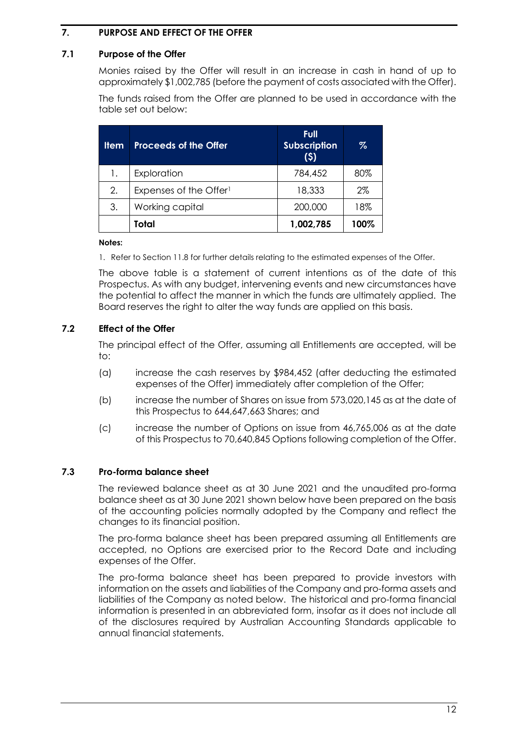### <span id="page-13-0"></span>**7. PURPOSE AND EFFECT OF THE OFFER**

### <span id="page-13-1"></span>**7.1 Purpose of the Offer**

Monies raised by the Offer will result in an increase in cash in hand of up to approximately \$1,002,785 (before the payment of costs associated with the Offer).

The funds raised from the Offer are planned to be used in accordance with the table set out below:

| <b>Item</b> | <b>Proceeds of the Offer</b>       | Full<br><b>Subscription</b><br>(5) | $\%$  |
|-------------|------------------------------------|------------------------------------|-------|
| 1.          | Exploration                        | 784,452                            | 80%   |
| 2.          | Expenses of the Offer <sup>1</sup> | 18,333                             | $2\%$ |
| 3.          | Working capital                    | 200,000                            | 18%   |
|             | Total                              | 1,002,785                          | 100%  |

#### **Notes:**

1. Refer to Section [11.8](#page-29-0) for further details relating to the estimated expenses of the Offer.

The above table is a statement of current intentions as of the date of this Prospectus. As with any budget, intervening events and new circumstances have the potential to affect the manner in which the funds are ultimately applied. The Board reserves the right to alter the way funds are applied on this basis.

### **7.2 Effect of the Offer**

The principal effect of the Offer, assuming all Entitlements are accepted, will be to:

- (a) increase the cash reserves by \$984,452 (after deducting the estimated expenses of the Offer) immediately after completion of the Offer;
- (b) increase the number of Shares on issue from 573,020,145 as at the date of this Prospectus to 644,647,663 Shares; and
- (c) increase the number of Options on issue from 46,765,006 as at the date of this Prospectus to 70,640,845 Options following completion of the Offer.

#### **7.3 Pro-forma balance sheet**

The reviewed balance sheet as at 30 June 2021 and the unaudited pro-forma balance sheet as at 30 June 2021 shown below have been prepared on the basis of the accounting policies normally adopted by the Company and reflect the changes to its financial position.

The pro-forma balance sheet has been prepared assuming all Entitlements are accepted, no Options are exercised prior to the Record Date and including expenses of the Offer.

The pro-forma balance sheet has been prepared to provide investors with information on the assets and liabilities of the Company and pro-forma assets and liabilities of the Company as noted below. The historical and pro-forma financial information is presented in an abbreviated form, insofar as it does not include all of the disclosures required by Australian Accounting Standards applicable to annual financial statements.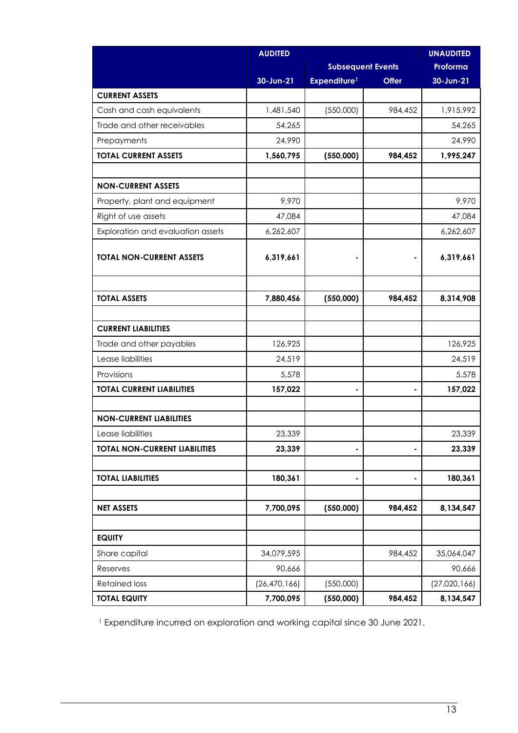|                                      | <b>AUDITED</b>           |                          |              | <b>UNAUDITED</b> |
|--------------------------------------|--------------------------|--------------------------|--------------|------------------|
|                                      | <b>Subsequent Events</b> |                          | Proforma     |                  |
|                                      | 30-Jun-21                | Expenditure <sup>1</sup> | <b>Offer</b> | 30-Jun-21        |
| <b>CURRENT ASSETS</b>                |                          |                          |              |                  |
| Cash and cash equivalents            | 1,481,540                | (550,000)                | 984,452      | 1,915,992        |
| Trade and other receivables          | 54,265                   |                          |              | 54,265           |
| Prepayments                          | 24,990                   |                          |              | 24,990           |
| <b>TOTAL CURRENT ASSETS</b>          | 1,560,795                | (550,000)                | 984,452      | 1,995,247        |
|                                      |                          |                          |              |                  |
| <b>NON-CURRENT ASSETS</b>            |                          |                          |              |                  |
| Property, plant and equipment        | 9,970                    |                          |              | 9,970            |
| Right of use assets                  | 47,084                   |                          |              | 47,084           |
| Exploration and evaluation assets    | 6,262,607                |                          |              | 6,262,607        |
| <b>TOTAL NON-CURRENT ASSETS</b>      | 6,319,661                |                          |              | 6,319,661        |
|                                      |                          |                          |              |                  |
| <b>TOTAL ASSETS</b>                  | 7,880,456                | (550,000)                | 984,452      | 8,314,908        |
|                                      |                          |                          |              |                  |
| <b>CURRENT LIABILITIES</b>           |                          |                          |              |                  |
| Trade and other payables             | 126,925                  |                          |              | 126,925          |
| Lease liabilities                    | 24,519                   |                          |              | 24,519           |
| Provisions                           | 5,578                    |                          |              | 5,578            |
| <b>TOTAL CURRENT LIABILITIES</b>     | 157,022                  |                          |              | 157,022          |
| <b>NON-CURRENT LIABILITIES</b>       |                          |                          |              |                  |
| Lease liabilities                    | 23,339                   |                          |              | 23,339           |
| <b>TOTAL NON-CURRENT LIABILITIES</b> | 23,339                   |                          |              | 23,339           |
|                                      |                          |                          |              |                  |
| <b>TOTAL LIABILITIES</b>             | 180,361                  |                          |              | 180,361          |
|                                      |                          |                          |              |                  |
| <b>NET ASSETS</b>                    | 7,700,095                | (550,000)                | 984,452      | 8,134,547        |
|                                      |                          |                          |              |                  |
| <b>EQUITY</b>                        |                          |                          |              |                  |
| Share capital                        | 34,079,595               |                          | 984,452      | 35,064,047       |
| Reserves                             | 90,666                   |                          |              | 90,666           |
| <b>Retained loss</b>                 | (26, 470, 166)           | (550,000)                |              | (27,020,166)     |
| <b>TOTAL EQUITY</b>                  | 7,700,095                | (550,000)                | 984,452      | 8,134,547        |

<sup>1</sup> Expenditure incurred on exploration and working capital since 30 June 2021.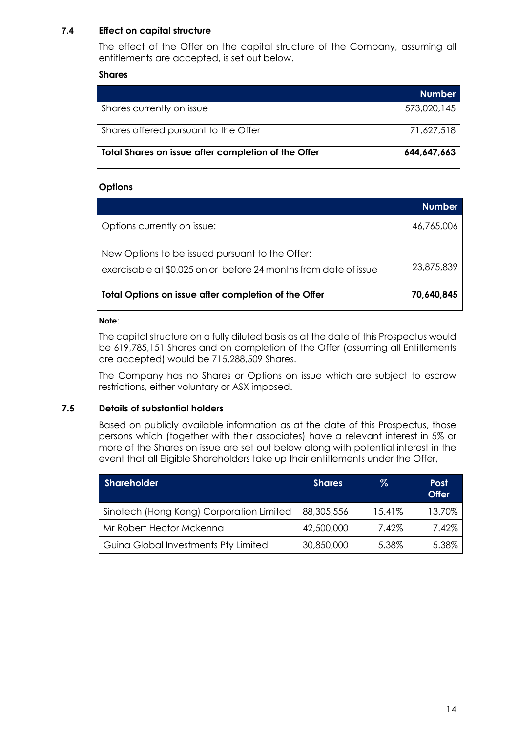### **7.4 Effect on capital structure**

The effect of the Offer on the capital structure of the Company, assuming all entitlements are accepted, is set out below.

#### **Shares**

|                                                     | <b>Number</b> |
|-----------------------------------------------------|---------------|
| Shares currently on issue                           | 573,020,145   |
| Shares offered pursuant to the Offer                | 71,627,518    |
| Total Shares on issue after completion of the Offer | 644,647,663   |

### **Options**

|                                                                                                                     | <b>Number</b> |
|---------------------------------------------------------------------------------------------------------------------|---------------|
| Options currently on issue:                                                                                         | 46,765,006    |
| New Options to be issued pursuant to the Offer:<br>exercisable at \$0.025 on or before 24 months from date of issue | 23,875,839    |
| Total Options on issue after completion of the Offer                                                                | 70,640,845    |

#### **Note**:

The capital structure on a fully diluted basis as at the date of this Prospectus would be 619,785,151 Shares and on completion of the Offer (assuming all Entitlements are accepted) would be 715,288,509 Shares.

The Company has no Shares or Options on issue which are subject to escrow restrictions, either voluntary or ASX imposed.

### **7.5 Details of substantial holders**

Based on publicly available information as at the date of this Prospectus, those persons which (together with their associates) have a relevant interest in 5% or more of the Shares on issue are set out below along with potential interest in the event that all Eligible Shareholders take up their entitlements under the Offer,

| <b>Shareholder</b>                       | <b>Shares</b> | %      | <b>Post</b><br><b>Offer</b> |
|------------------------------------------|---------------|--------|-----------------------------|
| Sinotech (Hong Kong) Corporation Limited | 88,305,556    | 15.41% | 13.70%                      |
| Mr Robert Hector Mckenna                 | 42,500,000    | 7.42%  | 7.42%                       |
| Guina Global Investments Pty Limited     | 30,850,000    | 5.38%  | 5.38%                       |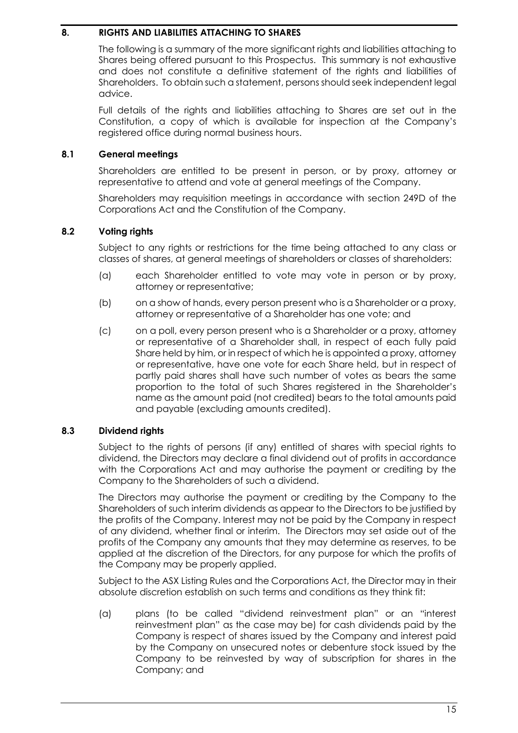### <span id="page-16-0"></span>**8. RIGHTS AND LIABILITIES ATTACHING TO SHARES**

The following is a summary of the more significant rights and liabilities attaching to Shares being offered pursuant to this Prospectus. This summary is not exhaustive and does not constitute a definitive statement of the rights and liabilities of Shareholders. To obtain such a statement, persons should seek independent legal advice.

Full details of the rights and liabilities attaching to Shares are set out in the Constitution, a copy of which is available for inspection at the Company's registered office during normal business hours.

### **8.1 General meetings**

Shareholders are entitled to be present in person, or by proxy, attorney or representative to attend and vote at general meetings of the Company.

Shareholders may requisition meetings in accordance with section 249D of the Corporations Act and the Constitution of the Company.

### **8.2 Voting rights**

Subject to any rights or restrictions for the time being attached to any class or classes of shares, at general meetings of shareholders or classes of shareholders:

- (a) each Shareholder entitled to vote may vote in person or by proxy, attorney or representative;
- (b) on a show of hands, every person present who is a Shareholder or a proxy, attorney or representative of a Shareholder has one vote; and
- (c) on a poll, every person present who is a Shareholder or a proxy, attorney or representative of a Shareholder shall, in respect of each fully paid Share held by him, or in respect of which he is appointed a proxy, attorney or representative, have one vote for each Share held, but in respect of partly paid shares shall have such number of votes as bears the same proportion to the total of such Shares registered in the Shareholder's name as the amount paid (not credited) bears to the total amounts paid and payable (excluding amounts credited).

### **8.3 Dividend rights**

Subject to the rights of persons (if any) entitled of shares with special rights to dividend, the Directors may declare a final dividend out of profits in accordance with the Corporations Act and may authorise the payment or crediting by the Company to the Shareholders of such a dividend.

The Directors may authorise the payment or crediting by the Company to the Shareholders of such interim dividends as appear to the Directors to be justified by the profits of the Company. Interest may not be paid by the Company in respect of any dividend, whether final or interim. The Directors may set aside out of the profits of the Company any amounts that they may determine as reserves, to be applied at the discretion of the Directors, for any purpose for which the profits of the Company may be properly applied.

Subject to the ASX Listing Rules and the Corporations Act, the Director may in their absolute discretion establish on such terms and conditions as they think fit:

(a) plans (to be called "dividend reinvestment plan" or an "interest reinvestment plan" as the case may be) for cash dividends paid by the Company is respect of shares issued by the Company and interest paid by the Company on unsecured notes or debenture stock issued by the Company to be reinvested by way of subscription for shares in the Company; and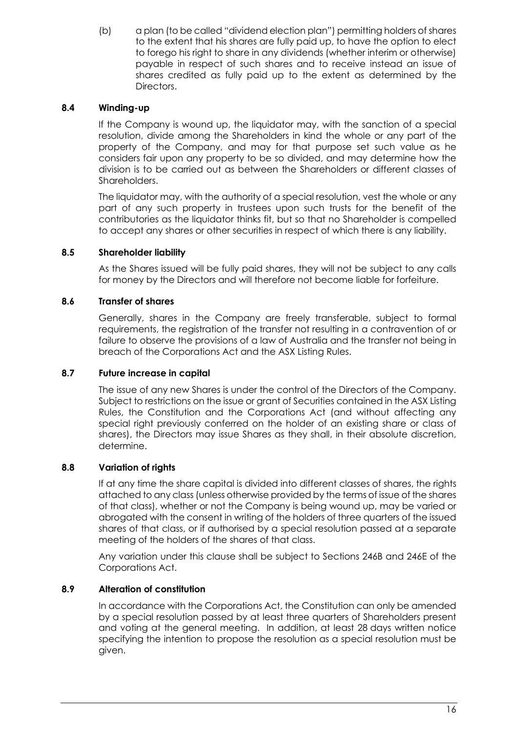(b) a plan (to be called "dividend election plan") permitting holders of shares to the extent that his shares are fully paid up, to have the option to elect to forego his right to share in any dividends (whether interim or otherwise) payable in respect of such shares and to receive instead an issue of shares credited as fully paid up to the extent as determined by the Directors.

### **8.4 Winding-up**

If the Company is wound up, the liquidator may, with the sanction of a special resolution, divide among the Shareholders in kind the whole or any part of the property of the Company, and may for that purpose set such value as he considers fair upon any property to be so divided, and may determine how the division is to be carried out as between the Shareholders or different classes of Shareholders.

The liquidator may, with the authority of a special resolution, vest the whole or any part of any such property in trustees upon such trusts for the benefit of the contributories as the liquidator thinks fit, but so that no Shareholder is compelled to accept any shares or other securities in respect of which there is any liability.

### **8.5 Shareholder liability**

As the Shares issued will be fully paid shares, they will not be subject to any calls for money by the Directors and will therefore not become liable for forfeiture.

### **8.6 Transfer of shares**

Generally, shares in the Company are freely transferable, subject to formal requirements, the registration of the transfer not resulting in a contravention of or failure to observe the provisions of a law of Australia and the transfer not being in breach of the Corporations Act and the ASX Listing Rules.

### **8.7 Future increase in capital**

The issue of any new Shares is under the control of the Directors of the Company. Subject to restrictions on the issue or grant of Securities contained in the ASX Listing Rules, the Constitution and the Corporations Act (and without affecting any special right previously conferred on the holder of an existing share or class of shares), the Directors may issue Shares as they shall, in their absolute discretion, determine.

### **8.8 Variation of rights**

If at any time the share capital is divided into different classes of shares, the rights attached to any class (unless otherwise provided by the terms of issue of the shares of that class), whether or not the Company is being wound up, may be varied or abrogated with the consent in writing of the holders of three quarters of the issued shares of that class, or if authorised by a special resolution passed at a separate meeting of the holders of the shares of that class.

Any variation under this clause shall be subject to Sections 246B and 246E of the Corporations Act.

### **8.9 Alteration of constitution**

In accordance with the Corporations Act, the Constitution can only be amended by a special resolution passed by at least three quarters of Shareholders present and voting at the general meeting. In addition, at least 28 days written notice specifying the intention to propose the resolution as a special resolution must be given.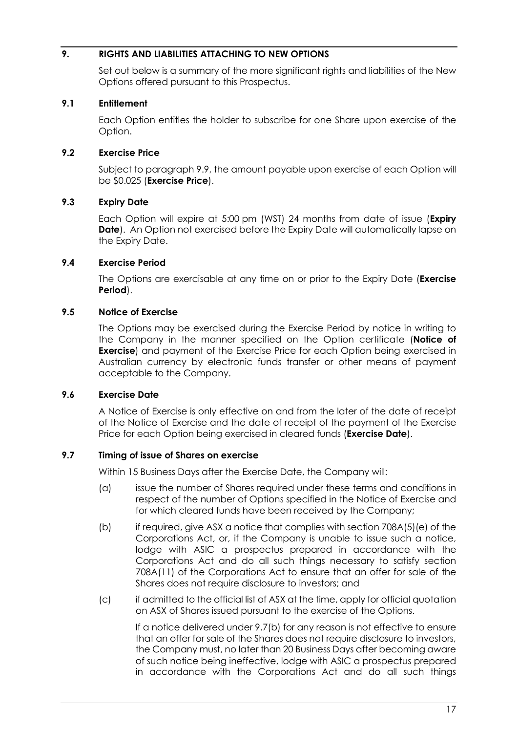### <span id="page-18-0"></span>**9. RIGHTS AND LIABILITIES ATTACHING TO NEW OPTIONS**

Set out below is a summary of the more significant rights and liabilities of the New Options offered pursuant to this Prospectus.

#### **9.1 Entitlement**

Each Option entitles the holder to subscribe for one Share upon exercise of the Option.

### **9.2 Exercise Price**

Subject to paragraph [9.9,](#page-19-0) the amount payable upon exercise of each Option will be \$0.025 (**Exercise Price**).

### **9.3 Expiry Date**

Each Option will expire at 5:00 pm (WST) 24 months from date of issue (**Expiry Date**). An Option not exercised before the Expiry Date will automatically lapse on the Expiry Date.

### **9.4 Exercise Period**

The Options are exercisable at any time on or prior to the Expiry Date (**Exercise Period**).

### **9.5 Notice of Exercise**

The Options may be exercised during the Exercise Period by notice in writing to the Company in the manner specified on the Option certificate (**Notice of Exercise**) and payment of the Exercise Price for each Option being exercised in Australian currency by electronic funds transfer or other means of payment acceptable to the Company.

#### **9.6 Exercise Date**

A Notice of Exercise is only effective on and from the later of the date of receipt of the Notice of Exercise and the date of receipt of the payment of the Exercise Price for each Option being exercised in cleared funds (**Exercise Date**).

#### <span id="page-18-1"></span>**9.7 Timing of issue of Shares on exercise**

Within 15 Business Days after the Exercise Date, the Company will:

- (a) issue the number of Shares required under these terms and conditions in respect of the number of Options specified in the Notice of Exercise and for which cleared funds have been received by the Company;
- <span id="page-18-2"></span>(b) if required, give ASX a notice that complies with section  $708A(5)(e)$  of the Corporations Act, or, if the Company is unable to issue such a notice, lodge with ASIC a prospectus prepared in accordance with the Corporations Act and do all such things necessary to satisfy section 708A(11) of the Corporations Act to ensure that an offer for sale of the Shares does not require disclosure to investors; and
- (c) if admitted to the official list of ASX at the time, apply for official quotation on ASX of Shares issued pursuant to the exercise of the Options.

If a notice delivered under [9.7](#page-18-1)[\(b\)](#page-18-2) for any reason is not effective to ensure that an offer for sale of the Shares does not require disclosure to investors, the Company must, no later than 20 Business Days after becoming aware of such notice being ineffective, lodge with ASIC a prospectus prepared in accordance with the Corporations Act and do all such things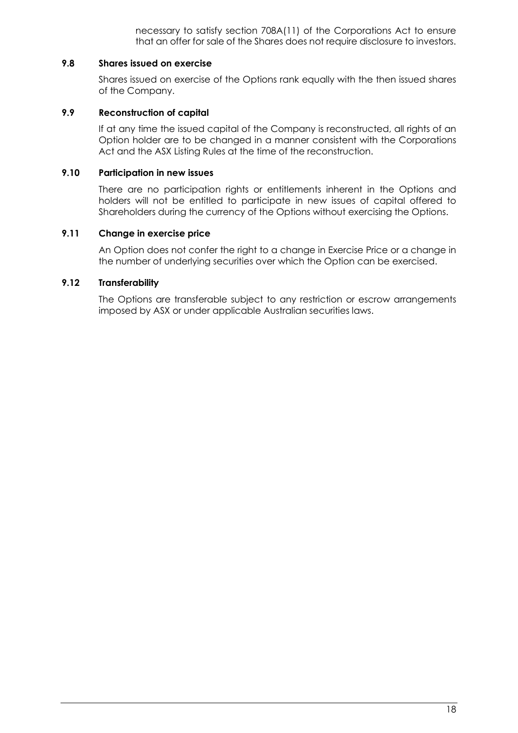necessary to satisfy section 708A(11) of the Corporations Act to ensure that an offer for sale of the Shares does not require disclosure to investors.

#### **9.8 Shares issued on exercise**

Shares issued on exercise of the Options rank equally with the then issued shares of the Company.

#### <span id="page-19-0"></span>**9.9 Reconstruction of capital**

If at any time the issued capital of the Company is reconstructed, all rights of an Option holder are to be changed in a manner consistent with the Corporations Act and the ASX Listing Rules at the time of the reconstruction.

#### **9.10 Participation in new issues**

There are no participation rights or entitlements inherent in the Options and holders will not be entitled to participate in new issues of capital offered to Shareholders during the currency of the Options without exercising the Options.

#### **9.11 Change in exercise price**

An Option does not confer the right to a change in Exercise Price or a change in the number of underlying securities over which the Option can be exercised.

#### **9.12 Transferability**

The Options are transferable subject to any restriction or escrow arrangements imposed by ASX or under applicable Australian securities laws.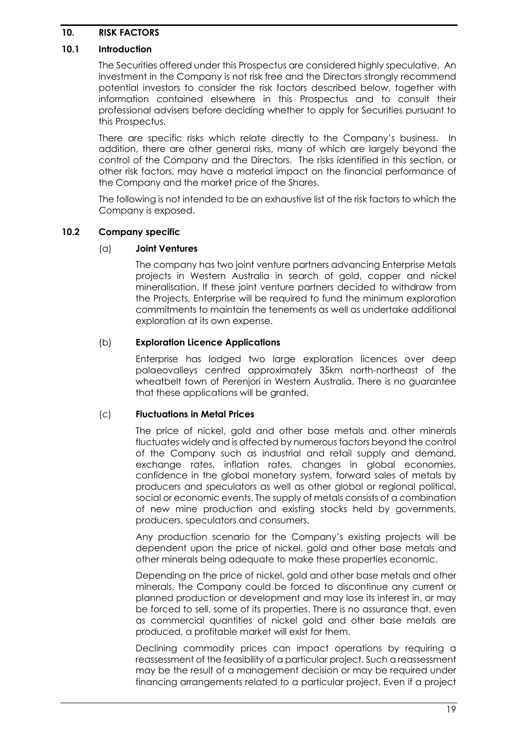### <span id="page-20-0"></span>**10. RISK FACTORS**

### **10.1 Introduction**

The Securities offered under this Prospectus are considered highly speculative. An investment in the Company is not risk free and the Directors strongly recommend potential investors to consider the risk factors described below, together with information contained elsewhere in this Prospectus and to consult their professional advisers before deciding whether to apply for Securities pursuant to this Prospectus.

There are specific risks which relate directly to the Company's business. In addition, there are other general risks, many of which are largely beyond the control of the Company and the Directors. The risks identified in this section, or other risk factors, may have a material impact on the financial performance of the Company and the market price of the Shares.

The following is not intended to be an exhaustive list of the risk factors to which the Company is exposed.

### **10.2 Company specific**

### (a) **Joint Ventures**

The company has two joint venture partners advancing Enterprise Metals projects in Western Australia in search of gold, copper and nickel mineralisation. If these joint venture partners decided to withdraw from the Projects, Enterprise will be required to fund the minimum exploration commitments to maintain the tenements as well as undertake additional exploration at its own expense.

### (b) **Exploration Licence Applications**

Enterprise has lodged two large exploration licences over deep palaeovalleys centred approximately 35km north-northeast of the wheatbelt town of Perenjori in Western Australia. There is no guarantee that these applications will be granted.

#### (c) **Fluctuations in Metal Prices**

The price of nickel, gold and other base metals and other minerals fluctuates widely and is affected by numerous factors beyond the control of the Company such as industrial and retail supply and demand, exchange rates, inflation rates, changes in global economies, confidence in the global monetary system, forward sales of metals by producers and speculators as well as other global or regional political, social or economic events. The supply of metals consists of a combination of new mine production and existing stocks held by governments, producers, speculators and consumers.

Any production scenario for the Company's existing projects will be dependent upon the price of nickel, gold and other base metals and other minerals being adequate to make these properties economic.

Depending on the price of nickel, gold and other base metals and other minerals, the Company could be forced to discontinue any current or planned production or development and may lose its interest in, or may be forced to sell, some of its properties. There is no assurance that, even as commercial quantities of nickel gold and other base metals are produced, a profitable market will exist for them.

Declining commodity prices can impact operations by requiring a reassessment of the feasibility of a particular project. Such a reassessment may be the result of a management decision or may be required under financing arrangements related to a particular project. Even if a project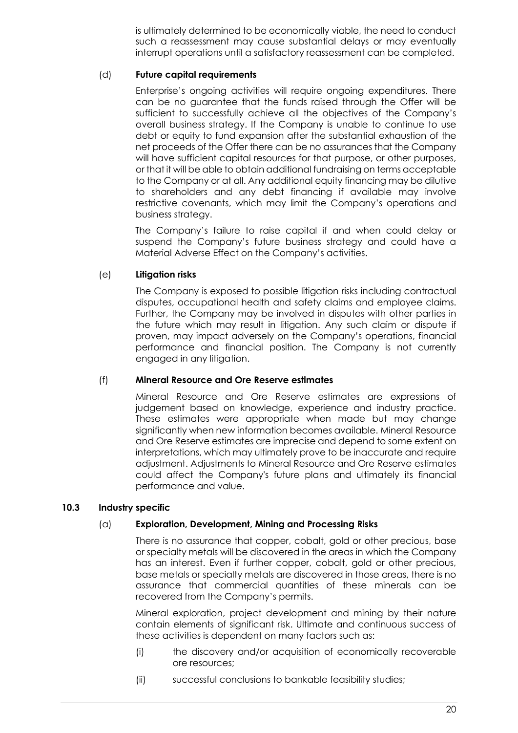is ultimately determined to be economically viable, the need to conduct such a reassessment may cause substantial delays or may eventually interrupt operations until a satisfactory reassessment can be completed.

### (d) **Future capital requirements**

Enterprise's ongoing activities will require ongoing expenditures. There can be no guarantee that the funds raised through the Offer will be sufficient to successfully achieve all the objectives of the Company's overall business strategy. If the Company is unable to continue to use debt or equity to fund expansion after the substantial exhaustion of the net proceeds of the Offer there can be no assurances that the Company will have sufficient capital resources for that purpose, or other purposes, or that it will be able to obtain additional fundraising on terms acceptable to the Company or at all. Any additional equity financing may be dilutive to shareholders and any debt financing if available may involve restrictive covenants, which may limit the Company's operations and business strategy.

The Company's failure to raise capital if and when could delay or suspend the Company's future business strategy and could have a Material Adverse Effect on the Company's activities.

### (e) **Litigation risks**

The Company is exposed to possible litigation risks including contractual disputes, occupational health and safety claims and employee claims. Further, the Company may be involved in disputes with other parties in the future which may result in litigation. Any such claim or dispute if proven, may impact adversely on the Company's operations, financial performance and financial position. The Company is not currently engaged in any litigation.

#### (f) **Mineral Resource and Ore Reserve estimates**

Mineral Resource and Ore Reserve estimates are expressions of judgement based on knowledge, experience and industry practice. These estimates were appropriate when made but may change significantly when new information becomes available. Mineral Resource and Ore Reserve estimates are imprecise and depend to some extent on interpretations, which may ultimately prove to be inaccurate and require adjustment. Adjustments to Mineral Resource and Ore Reserve estimates could affect the Company's future plans and ultimately its financial performance and value.

#### **10.3 Industry specific**

### (a) **Exploration, Development, Mining and Processing Risks**

There is no assurance that copper, cobalt, gold or other precious, base or specialty metals will be discovered in the areas in which the Company has an interest. Even if further copper, cobalt, gold or other precious, base metals or specialty metals are discovered in those areas, there is no assurance that commercial quantities of these minerals can be recovered from the Company's permits.

Mineral exploration, project development and mining by their nature contain elements of significant risk. Ultimate and continuous success of these activities is dependent on many factors such as:

- (i) the discovery and/or acquisition of economically recoverable ore resources;
- (ii) successful conclusions to bankable feasibility studies;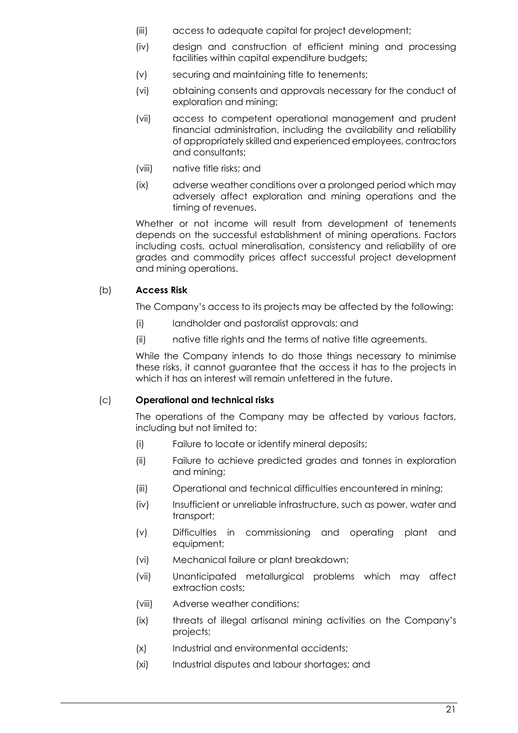- (iii) access to adequate capital for project development;
- (iv) design and construction of efficient mining and processing facilities within capital expenditure budgets;
- (v) securing and maintaining title to tenements;
- (vi) obtaining consents and approvals necessary for the conduct of exploration and mining;
- (vii) access to competent operational management and prudent financial administration, including the availability and reliability of appropriately skilled and experienced employees, contractors and consultants;
- (viii) native title risks; and
- (ix) adverse weather conditions over a prolonged period which may adversely affect exploration and mining operations and the timing of revenues.

Whether or not income will result from development of tenements depends on the successful establishment of mining operations. Factors including costs, actual mineralisation, consistency and reliability of ore grades and commodity prices affect successful project development and mining operations.

### (b) **Access Risk**

The Company's access to its projects may be affected by the following:

- (i) landholder and pastoralist approvals; and
- (ii) native title rights and the terms of native title agreements.

While the Company intends to do those things necessary to minimise these risks, it cannot guarantee that the access it has to the projects in which it has an interest will remain unfettered in the future.

### (c) **Operational and technical risks**

The operations of the Company may be affected by various factors, including but not limited to:

- (i) Failure to locate or identify mineral deposits;
- (ii) Failure to achieve predicted grades and tonnes in exploration and mining;
- (iii) Operational and technical difficulties encountered in mining;
- (iv) Insufficient or unreliable infrastructure, such as power, water and transport;
- (v) Difficulties in commissioning and operating plant and equipment;
- (vi) Mechanical failure or plant breakdown;
- (vii) Unanticipated metallurgical problems which may affect extraction costs;
- (viii) Adverse weather conditions;
- (ix) threats of illegal artisanal mining activities on the Company's projects;
- (x) Industrial and environmental accidents;
- (xi) Industrial disputes and labour shortages; and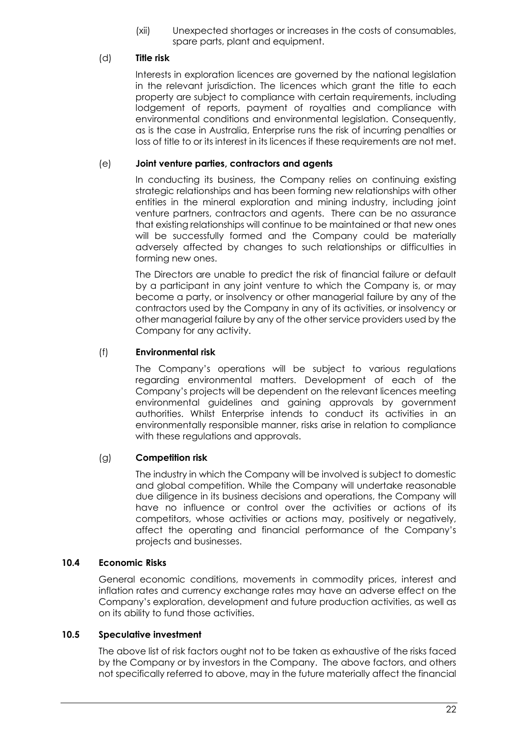(xii) Unexpected shortages or increases in the costs of consumables, spare parts, plant and equipment.

### (d) **Title risk**

Interests in exploration licences are governed by the national legislation in the relevant jurisdiction. The licences which grant the title to each property are subject to compliance with certain requirements, including lodgement of reports, payment of royalties and compliance with environmental conditions and environmental legislation. Consequently, as is the case in Australia, Enterprise runs the risk of incurring penalties or loss of title to or its interest in its licences if these requirements are not met.

#### (e) **Joint venture parties, contractors and agents**

In conducting its business, the Company relies on continuing existing strategic relationships and has been forming new relationships with other entities in the mineral exploration and mining industry, including joint venture partners, contractors and agents. There can be no assurance that existing relationships will continue to be maintained or that new ones will be successfully formed and the Company could be materially adversely affected by changes to such relationships or difficulties in forming new ones.

The Directors are unable to predict the risk of financial failure or default by a participant in any joint venture to which the Company is, or may become a party, or insolvency or other managerial failure by any of the contractors used by the Company in any of its activities, or insolvency or other managerial failure by any of the other service providers used by the Company for any activity.

### (f) **Environmental risk**

The Company's operations will be subject to various regulations regarding environmental matters. Development of each of the Company's projects will be dependent on the relevant licences meeting environmental guidelines and gaining approvals by government authorities. Whilst Enterprise intends to conduct its activities in an environmentally responsible manner, risks arise in relation to compliance with these regulations and approvals.

### (g) **Competition risk**

The industry in which the Company will be involved is subject to domestic and global competition. While the Company will undertake reasonable due diligence in its business decisions and operations, the Company will have no influence or control over the activities or actions of its competitors, whose activities or actions may, positively or negatively, affect the operating and financial performance of the Company's projects and businesses.

#### **10.4 Economic Risks**

General economic conditions, movements in commodity prices, interest and inflation rates and currency exchange rates may have an adverse effect on the Company's exploration, development and future production activities, as well as on its ability to fund those activities.

#### **10.5 Speculative investment**

The above list of risk factors ought not to be taken as exhaustive of the risks faced by the Company or by investors in the Company. The above factors, and others not specifically referred to above, may in the future materially affect the financial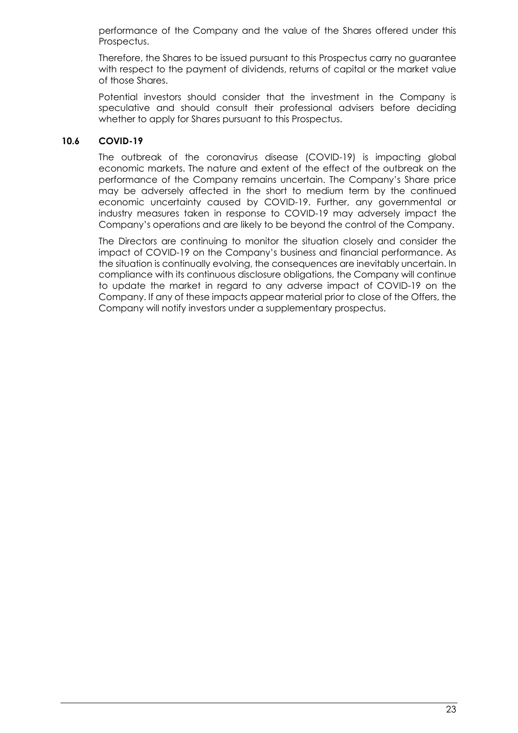performance of the Company and the value of the Shares offered under this Prospectus.

Therefore, the Shares to be issued pursuant to this Prospectus carry no guarantee with respect to the payment of dividends, returns of capital or the market value of those Shares.

Potential investors should consider that the investment in the Company is speculative and should consult their professional advisers before deciding whether to apply for Shares pursuant to this Prospectus.

#### **10.6 COVID-19**

The outbreak of the coronavirus disease (COVID-19) is impacting global economic markets. The nature and extent of the effect of the outbreak on the performance of the Company remains uncertain. The Company's Share price may be adversely affected in the short to medium term by the continued economic uncertainty caused by COVID-19. Further, any governmental or industry measures taken in response to COVID-19 may adversely impact the Company's operations and are likely to be beyond the control of the Company.

The Directors are continuing to monitor the situation closely and consider the impact of COVID-19 on the Company's business and financial performance. As the situation is continually evolving, the consequences are inevitably uncertain. In compliance with its continuous disclosure obligations, the Company will continue to update the market in regard to any adverse impact of COVID-19 on the Company. If any of these impacts appear material prior to close of the Offers, the Company will notify investors under a supplementary prospectus.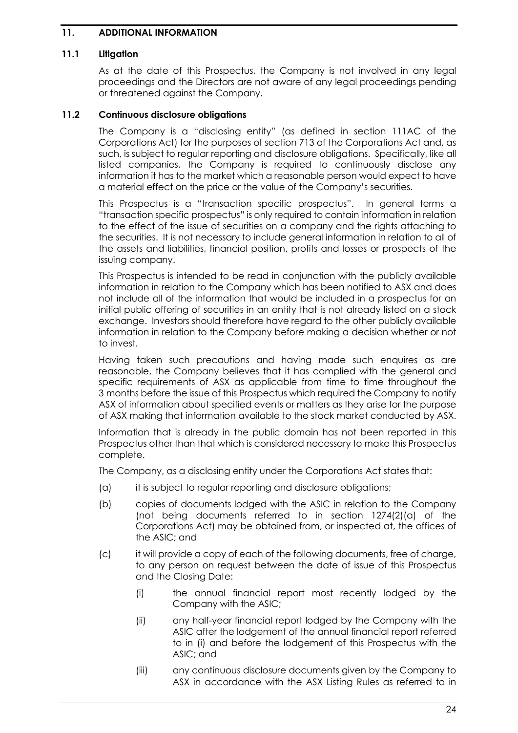### <span id="page-25-0"></span>**11. ADDITIONAL INFORMATION**

#### **11.1 Litigation**

As at the date of this Prospectus, the Company is not involved in any legal proceedings and the Directors are not aware of any legal proceedings pending or threatened against the Company.

#### **11.2 Continuous disclosure obligations**

The Company is a "disclosing entity" (as defined in section 111AC of the Corporations Act) for the purposes of section 713 of the Corporations Act and, as such, is subject to regular reporting and disclosure obligations. Specifically, like all listed companies, the Company is required to continuously disclose any information it has to the market which a reasonable person would expect to have a material effect on the price or the value of the Company's securities.

This Prospectus is a "transaction specific prospectus". In general terms a "transaction specific prospectus" is only required to contain information in relation to the effect of the issue of securities on a company and the rights attaching to the securities. It is not necessary to include general information in relation to all of the assets and liabilities, financial position, profits and losses or prospects of the issuing company.

This Prospectus is intended to be read in conjunction with the publicly available information in relation to the Company which has been notified to ASX and does not include all of the information that would be included in a prospectus for an initial public offering of securities in an entity that is not already listed on a stock exchange. Investors should therefore have regard to the other publicly available information in relation to the Company before making a decision whether or not to invest.

Having taken such precautions and having made such enquires as are reasonable, the Company believes that it has complied with the general and specific requirements of ASX as applicable from time to time throughout the 3 months before the issue of this Prospectus which required the Company to notify ASX of information about specified events or matters as they arise for the purpose of ASX making that information available to the stock market conducted by ASX.

Information that is already in the public domain has not been reported in this Prospectus other than that which is considered necessary to make this Prospectus complete.

The Company, as a disclosing entity under the Corporations Act states that:

- (a) it is subject to regular reporting and disclosure obligations;
- (b) copies of documents lodged with the ASIC in relation to the Company (not being documents referred to in section 1274(2)(a) of the Corporations Act) may be obtained from, or inspected at, the offices of the ASIC; and
- (c) it will provide a copy of each of the following documents, free of charge, to any person on request between the date of issue of this Prospectus and the Closing Date:
	- (i) the annual financial report most recently lodged by the Company with the ASIC;
	- (ii) any half-year financial report lodged by the Company with the ASIC after the lodgement of the annual financial report referred to in (i) and before the lodgement of this Prospectus with the ASIC; and
	- (iii) any continuous disclosure documents given by the Company to ASX in accordance with the ASX Listing Rules as referred to in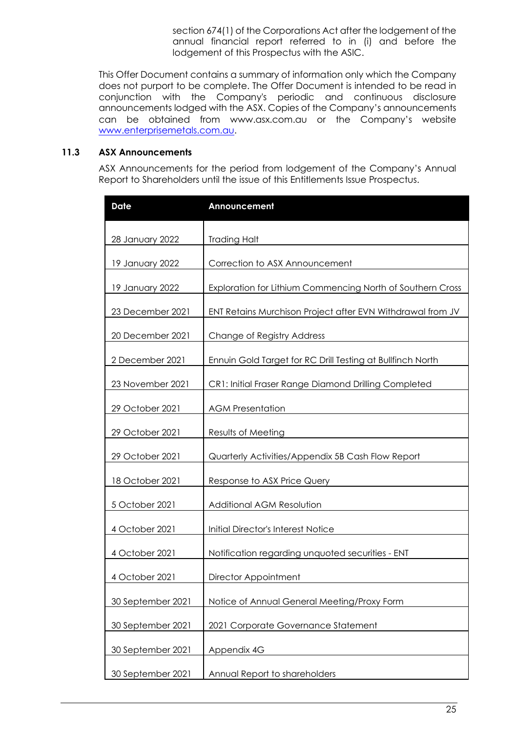section 674(1) of the Corporations Act after the lodgement of the annual financial report referred to in (i) and before the lodgement of this Prospectus with the ASIC.

This Offer Document contains a summary of information only which the Company does not purport to be complete. The Offer Document is intended to be read in conjunction with the Company's periodic and continuous disclosure announcements lodged with the ASX. Copies of the Company's announcements can be obtained from www.asx.com.au or the Company's website [www.enterprisemetals.com.au.](http://www.enterprisemetals.com.au/)

#### **11.3 ASX Announcements**

ASX Announcements for the period from lodgement of the Company's Annual Report to Shareholders until the issue of this Entitlements Issue Prospectus.

| <b>Date</b>       | Announcement                                               |
|-------------------|------------------------------------------------------------|
| 28 January 2022   | <b>Trading Halt</b>                                        |
| 19 January 2022   | Correction to ASX Announcement                             |
| 19 January 2022   | Exploration for Lithium Commencing North of Southern Cross |
| 23 December 2021  | ENT Retains Murchison Project after EVN Withdrawal from JV |
| 20 December 2021  | Change of Registry Address                                 |
| 2 December 2021   | Ennuin Gold Target for RC Drill Testing at Bullfinch North |
| 23 November 2021  | CR1: Initial Fraser Range Diamond Drilling Completed       |
| 29 October 2021   | <b>AGM Presentation</b>                                    |
| 29 October 2021   | Results of Meeting                                         |
| 29 October 2021   | Quarterly Activities/Appendix 5B Cash Flow Report          |
| 18 October 2021   | Response to ASX Price Query                                |
| 5 October 2021    | Additional AGM Resolution                                  |
| 4 October 2021    | <b>Initial Director's Interest Notice</b>                  |
| 4 October 2021    | Notification regarding unquoted securities - ENT           |
| 4 October 2021    | Director Appointment                                       |
| 30 September 2021 | Notice of Annual General Meeting/Proxy Form                |
| 30 September 2021 | 2021 Corporate Governance Statement                        |
| 30 September 2021 | Appendix 4G                                                |
| 30 September 2021 | Annual Report to shareholders                              |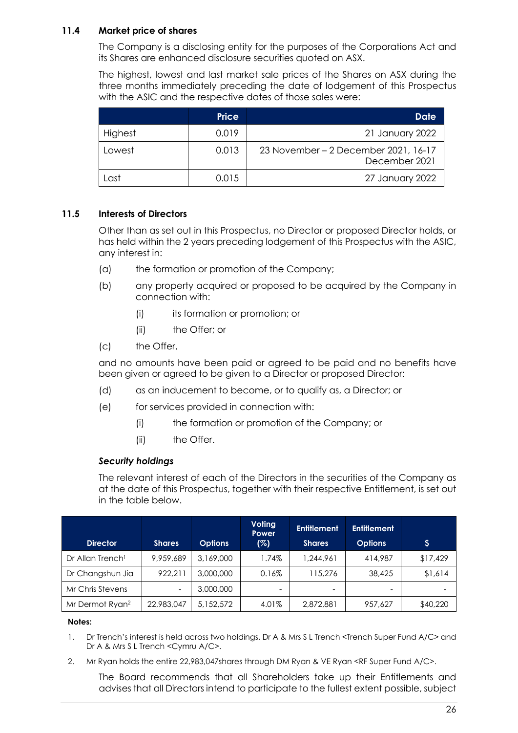### **11.4 Market price of shares**

The Company is a disclosing entity for the purposes of the Corporations Act and its Shares are enhanced disclosure securities quoted on ASX.

The highest, lowest and last market sale prices of the Shares on ASX during the three months immediately preceding the date of lodgement of this Prospectus with the ASIC and the respective dates of those sales were:

|         | <b>Price</b> | Date                                                  |
|---------|--------------|-------------------------------------------------------|
| Highest | 0.019        | 21 January 2022                                       |
| Lowest  | 0.013        | 23 November - 2 December 2021, 16-17<br>December 2021 |
| Last    | 0.015        | 27 January 2022                                       |

### **11.5 Interests of Directors**

Other than as set out in this Prospectus, no Director or proposed Director holds, or has held within the 2 years preceding lodgement of this Prospectus with the ASIC, any interest in:

- (a) the formation or promotion of the Company;
- (b) any property acquired or proposed to be acquired by the Company in connection with:
	- (i) its formation or promotion; or
	- (ii) the Offer; or
- (c) the Offer,

and no amounts have been paid or agreed to be paid and no benefits have been given or agreed to be given to a Director or proposed Director:

- (d) as an inducement to become, or to qualify as, a Director; or
- (e) for services provided in connection with:
	- (i) the formation or promotion of the Company; or
	- (ii) the Offer.

#### *Security holdings*

The relevant interest of each of the Directors in the securities of the Company as at the date of this Prospectus, together with their respective Entitlement, is set out in the table below.

| <b>Director</b>              | <b>Shares</b> | <b>Options</b> | <b>Voting</b><br>Power<br>(%) | <b>Entitlement</b><br><b>Shares</b> | <b>Entitlement</b><br><b>Options</b> | Ş        |
|------------------------------|---------------|----------------|-------------------------------|-------------------------------------|--------------------------------------|----------|
| Dr Allan Trench <sup>1</sup> | 9.959.689     | 3,169,000      | 1.74%                         | 1,244,961                           | 414,987                              | \$17,429 |
| Dr Changshun Jia             | 922,211       | 3,000,000      | 0.16%                         | 115,276                             | 38,425                               | \$1,614  |
| Mr Chris Stevens             | -             | 3,000,000      | -                             | -                                   | -                                    |          |
| Mr Dermot Ryan <sup>2</sup>  | 22,983,047    | 5,152,572      | 4.01%                         | 2,872,881                           | 957,627                              | \$40,220 |

#### **Notes:**

- 1. Dr Trench's interest is held across two holdings. Dr A & Mrs S L Trench <Trench Super Fund A/C> and Dr A & Mrs S L Trench <Cymru A/C>.
- 2. Mr Ryan holds the entire 22,983,047shares through DM Ryan & VE Ryan <RF Super Fund A/C>.

The Board recommends that all Shareholders take up their Entitlements and advises that all Directors intend to participate to the fullest extent possible, subject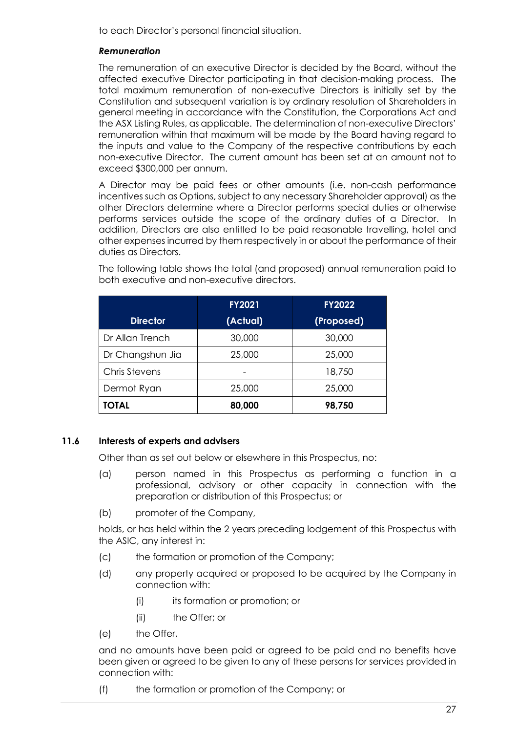to each Director's personal financial situation.

### *Remuneration*

The remuneration of an executive Director is decided by the Board, without the affected executive Director participating in that decision-making process. The total maximum remuneration of non-executive Directors is initially set by the Constitution and subsequent variation is by ordinary resolution of Shareholders in general meeting in accordance with the Constitution, the Corporations Act and the ASX Listing Rules, as applicable. The determination of non-executive Directors' remuneration within that maximum will be made by the Board having regard to the inputs and value to the Company of the respective contributions by each non-executive Director. The current amount has been set at an amount not to exceed \$300,000 per annum.

A Director may be paid fees or other amounts (i.e. non-cash performance incentives such as Options, subject to any necessary Shareholder approval) as the other Directors determine where a Director performs special duties or otherwise performs services outside the scope of the ordinary duties of a Director. In addition, Directors are also entitled to be paid reasonable travelling, hotel and other expenses incurred by them respectively in or about the performance of their duties as Directors.

|                  | FY2021   | <b>FY2022</b> |
|------------------|----------|---------------|
| <b>Director</b>  | (Actual) | (Proposed)    |
| Dr Allan Trench  | 30,000   | 30,000        |
| Dr Changshun Jia | 25,000   | 25,000        |
| Chris Stevens    |          | 18,750        |
| Dermot Ryan      | 25,000   | 25,000        |
| <b>TOTAL</b>     | 80,000   | 98,750        |

The following table shows the total (and proposed) annual remuneration paid to both executive and non-executive directors.

### **11.6 Interests of experts and advisers**

Other than as set out below or elsewhere in this Prospectus, no:

- (a) person named in this Prospectus as performing a function in a professional, advisory or other capacity in connection with the preparation or distribution of this Prospectus; or
- (b) promoter of the Company,

holds, or has held within the 2 years preceding lodgement of this Prospectus with the ASIC, any interest in:

- (c) the formation or promotion of the Company;
- (d) any property acquired or proposed to be acquired by the Company in connection with:
	- (i) its formation or promotion; or
	- (ii) the Offer; or
- (e) the Offer,

and no amounts have been paid or agreed to be paid and no benefits have been given or agreed to be given to any of these persons for services provided in connection with:

(f) the formation or promotion of the Company; or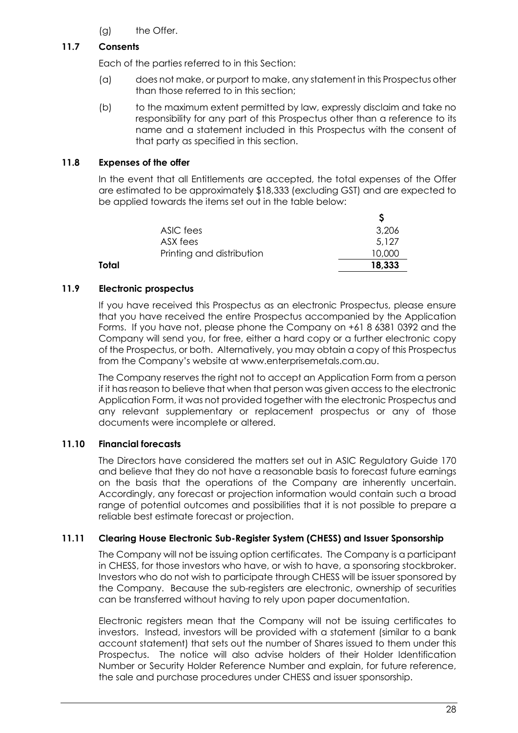(g) the Offer.

### **11.7 Consents**

Each of the parties referred to in this Section:

- (a) does not make, or purport to make, any statement in this Prospectus other than those referred to in this section;
- (b) to the maximum extent permitted by law, expressly disclaim and take no responsibility for any part of this Prospectus other than a reference to its name and a statement included in this Prospectus with the consent of that party as specified in this section.

### <span id="page-29-0"></span>**11.8 Expenses of the offer**

In the event that all Entitlements are accepted, the total expenses of the Offer are estimated to be approximately \$18,333 (excluding GST) and are expected to be applied towards the items set out in the table below:

|       | ASIC fees                 | 3,206  |
|-------|---------------------------|--------|
|       | ASX fees                  | 5.127  |
|       | Printing and distribution | 10,000 |
| Total |                           | 18,333 |
|       |                           |        |

### **11.9 Electronic prospectus**

If you have received this Prospectus as an electronic Prospectus, please ensure that you have received the entire Prospectus accompanied by the Application Forms. If you have not, please phone the Company on +61 8 6381 0392 and the Company will send you, for free, either a hard copy or a further electronic copy of the Prospectus, or both. Alternatively, you may obtain a copy of this Prospectus from the Company's website at www.enterprisemetals.com.au.

The Company reserves the right not to accept an Application Form from a person if it has reason to believe that when that person was given access to the electronic Application Form, it was not provided together with the electronic Prospectus and any relevant supplementary or replacement prospectus or any of those documents were incomplete or altered.

### **11.10 Financial forecasts**

The Directors have considered the matters set out in ASIC Regulatory Guide 170 and believe that they do not have a reasonable basis to forecast future earnings on the basis that the operations of the Company are inherently uncertain. Accordingly, any forecast or projection information would contain such a broad range of potential outcomes and possibilities that it is not possible to prepare a reliable best estimate forecast or projection.

### **11.11 Clearing House Electronic Sub-Register System (CHESS) and Issuer Sponsorship**

The Company will not be issuing option certificates. The Company is a participant in CHESS, for those investors who have, or wish to have, a sponsoring stockbroker. Investors who do not wish to participate through CHESS will be issuer sponsored by the Company. Because the sub-registers are electronic, ownership of securities can be transferred without having to rely upon paper documentation.

Electronic registers mean that the Company will not be issuing certificates to investors. Instead, investors will be provided with a statement (similar to a bank account statement) that sets out the number of Shares issued to them under this Prospectus. The notice will also advise holders of their Holder Identification Number or Security Holder Reference Number and explain, for future reference, the sale and purchase procedures under CHESS and issuer sponsorship.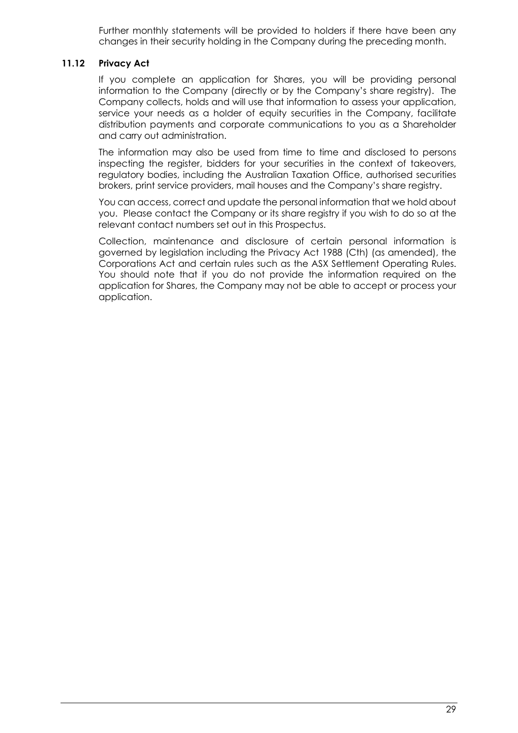Further monthly statements will be provided to holders if there have been any changes in their security holding in the Company during the preceding month.

#### **11.12 Privacy Act**

If you complete an application for Shares, you will be providing personal information to the Company (directly or by the Company's share registry). The Company collects, holds and will use that information to assess your application, service your needs as a holder of equity securities in the Company, facilitate distribution payments and corporate communications to you as a Shareholder and carry out administration.

The information may also be used from time to time and disclosed to persons inspecting the register, bidders for your securities in the context of takeovers, regulatory bodies, including the Australian Taxation Office, authorised securities brokers, print service providers, mail houses and the Company's share registry.

You can access, correct and update the personal information that we hold about you. Please contact the Company or its share registry if you wish to do so at the relevant contact numbers set out in this Prospectus.

Collection, maintenance and disclosure of certain personal information is governed by legislation including the Privacy Act 1988 (Cth) (as amended), the Corporations Act and certain rules such as the ASX Settlement Operating Rules. You should note that if you do not provide the information required on the application for Shares, the Company may not be able to accept or process your application.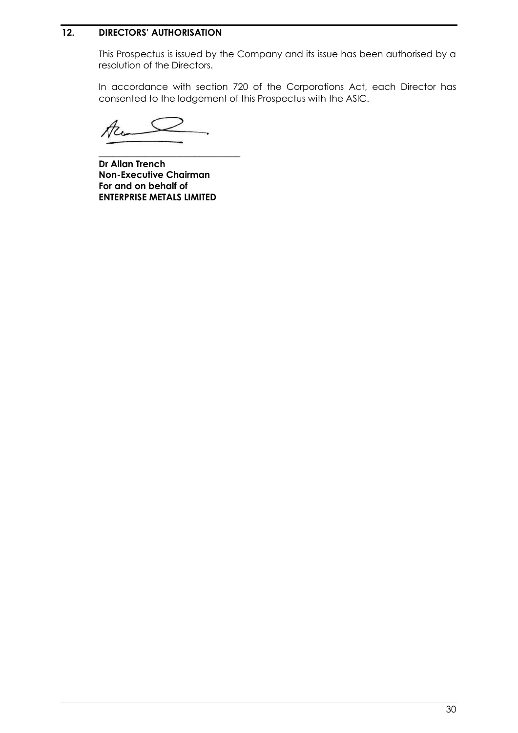### <span id="page-31-0"></span>**12. DIRECTORS' AUTHORISATION**

This Prospectus is issued by the Company and its issue has been authorised by a resolution of the Directors.

In accordance with section 720 of the Corporations Act, each Director has consented to the lodgement of this Prospectus with the ASIC.

Ac

**\_\_\_\_\_\_\_\_\_\_\_\_\_\_\_\_\_\_\_\_\_\_\_\_\_\_\_\_\_\_\_ Dr Allan Trench Non-Executive Chairman For and on behalf of ENTERPRISE METALS LIMITED**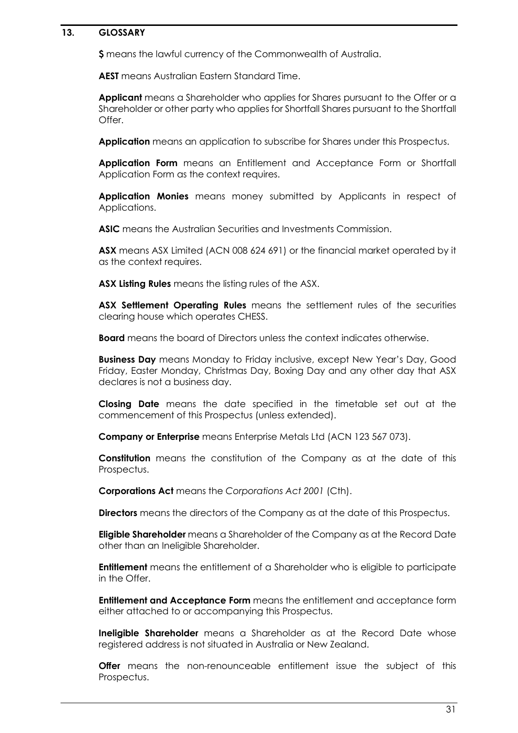#### <span id="page-32-0"></span>**13. GLOSSARY**

**\$** means the lawful currency of the Commonwealth of Australia.

**AEST** means Australian Eastern Standard Time.

**Applicant** means a Shareholder who applies for Shares pursuant to the Offer or a Shareholder or other party who applies for Shortfall Shares pursuant to the Shortfall Offer.

**Application** means an application to subscribe for Shares under this Prospectus.

**Application Form** means an Entitlement and Acceptance Form or Shortfall Application Form as the context requires.

**Application Monies** means money submitted by Applicants in respect of Applications.

**ASIC** means the Australian Securities and Investments Commission.

**ASX** means ASX Limited (ACN 008 624 691) or the financial market operated by it as the context requires.

**ASX Listing Rules** means the listing rules of the ASX.

**ASX Settlement Operating Rules** means the settlement rules of the securities clearing house which operates CHESS.

**Board** means the board of Directors unless the context indicates otherwise.

**Business Day** means Monday to Friday inclusive, except New Year's Day, Good Friday, Easter Monday, Christmas Day, Boxing Day and any other day that ASX declares is not a business day.

**Closing Date** means the date specified in the timetable set out at the commencement of this Prospectus (unless extended).

**Company or Enterprise** means Enterprise Metals Ltd (ACN 123 567 073).

**Constitution** means the constitution of the Company as at the date of this Prospectus.

**Corporations Act** means the *Corporations Act 2001* (Cth).

**Directors** means the directors of the Company as at the date of this Prospectus.

**Eligible Shareholder** means a Shareholder of the Company as at the Record Date other than an Ineligible Shareholder.

**Entitlement** means the entitlement of a Shareholder who is eligible to participate in the Offer.

**Entitlement and Acceptance Form** means the entitlement and acceptance form either attached to or accompanying this Prospectus.

**Ineligible Shareholder** means a Shareholder as at the Record Date whose registered address is not situated in Australia or New Zealand.

**Offer** means the non-renounceable entitlement issue the subject of this Prospectus.